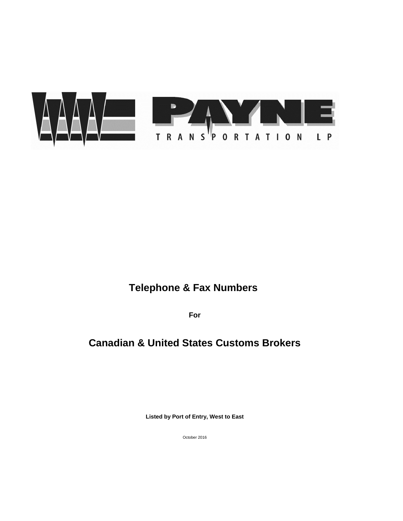October 2016

**Listed by Port of Entry, West to East**

# **Canadian & United States Customs Brokers**

**For**



# **Telephone & Fax Numbers**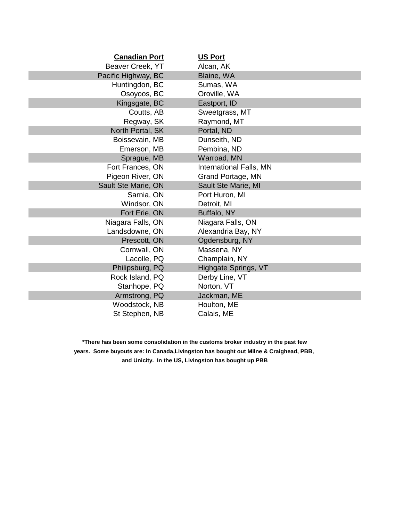| <b>Canadian Port</b>       | <b>US Port</b>                 |
|----------------------------|--------------------------------|
| Beaver Creek, YT           | Alcan, AK                      |
| Pacific Highway, BC        | Blaine, WA                     |
| Huntingdon, BC             | Sumas, WA                      |
| Osoyoos, BC                | Oroville, WA                   |
| Kingsgate, BC              | Eastport, ID                   |
| Coutts, AB                 | Sweetgrass, MT                 |
| Regway, SK                 | Raymond, MT                    |
| North Portal, SK           | Portal, ND                     |
| Boissevain, MB             | Dunseith, ND                   |
| Emerson, MB                | Pembina, ND                    |
| Sprague, MB                | Warroad, MN                    |
| Fort Frances, ON           | <b>International Falls, MN</b> |
| Pigeon River, ON           | <b>Grand Portage, MN</b>       |
| <b>Sault Ste Marie, ON</b> | <b>Sault Ste Marie, MI</b>     |
| Sarnia, ON                 | Port Huron, MI                 |
| Windsor, ON                | Detroit, MI                    |
| Fort Erie, ON              | Buffalo, NY                    |
| Niagara Falls, ON          | Niagara Falls, ON              |
| Landsdowne, ON             | Alexandria Bay, NY             |
| Prescott, ON               | Ogdensburg, NY                 |
| Cornwall, ON               | Massena, NY                    |
| Lacolle, PQ                | Champlain, NY                  |
| Philipsburg, PQ            | Highgate Springs, VT           |
| Rock Island, PQ            | Derby Line, VT                 |
| Stanhope, PQ               | Norton, VT                     |
| Armstrong, PQ              | Jackman, ME                    |
| Woodstock, NB              | Houlton, ME                    |
| St Stephen, NB             | Calais, ME                     |

**and Unicity. In the US, Livingston has bought up PBB years. Some buyouts are: In Canada,Livingston has bought out Milne & Craighead, PBB, \*There has been some consolidation in the customs broker industry in the past few**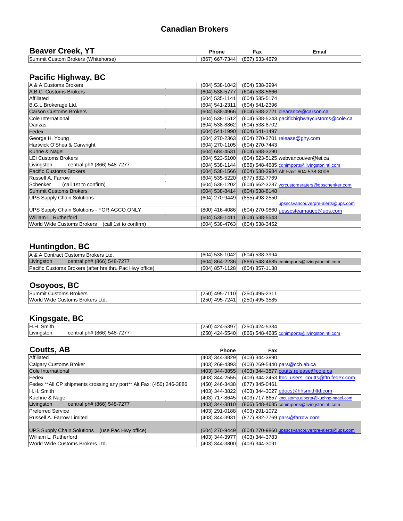| $\mathbf{F}$<br><b>Beaver</b><br>reek.<br>$\overline{\phantom{a}}$ | Phone                           | $\sim$<br>Fax       | Email |
|--------------------------------------------------------------------|---------------------------------|---------------------|-------|
| Summit<br>(Whitehorse)<br>Custom<br>⊦Brokers                       | $-7344$<br>$\sqrt{667}$<br>(867 | 7) 633-4679<br>'867 |       |

#### **Pacific Highway, BC**

| A & A Customs Brokers                             | $(604)$ 538-1042<br>$(604)$ 538-3994                               |
|---------------------------------------------------|--------------------------------------------------------------------|
| A.B.C. Customs Brokers                            | $(604)$ 538-5777<br>$(604) 538 - 5666$                             |
| <b>Affiliated</b>                                 | $(604)$ 535-1141<br>$(604)$ 535-5174                               |
| <b>B.G.L Brokerage Ltd.</b>                       | $(604)$ 541-2311<br>$(604)$ 541-2396                               |
| <b>Carson Customs Brokers</b>                     | $(604)$ 538-4966<br>(604) 538-2721 clearance @carson.ca            |
| Cole International                                | $(604)$ 538-1512<br>(604) 538-5243 pacifichighwaycustoms@cole.ca   |
| Danzas                                            | $(604)$ 538-8862<br>$(604) 538 - 8702$                             |
| Fedex                                             | $(604) 541 - 1990$<br>$(604)$ 541-1497                             |
| George H. Young                                   | $(604)$ 270-2363<br>$(604)$ 270-2701 release @ghy.com              |
| Hartwick O'Shea & Carwright                       | $(604)$ 270-1105<br>(604) 270-7443                                 |
| Kuhne & Nagel                                     | $(604) 684 - 4531$<br>$(604) 688 - 3290$                           |
| <b>LEI Customs Brokers</b>                        | $(604)$ 523-5100<br>(604) 523-5125 webvancouver@lei.ca             |
| Livingston central ph# (866) 548-7277             | $(604)$ 538-1144<br>(866) 548-4685 cdnimports@livingstonintl.com   |
| <b>Pacific Customs Brokers</b>                    | $(604)$ 538-1566<br>(604) 538-3984 Alt Fax: 604-538-8006           |
| <b>Russell A. Farrow</b>                          | (604) 535-5220<br>(877) 832-7769                                   |
| (call 1st to confirm)<br>Schenker                 | $(604)$ 538-1202<br>(604) 662-3287 vcrcustomsraters@dbschenker.com |
| <b>Summit Customs Brokers</b>                     | $(604)$ 538-8414<br>$(604)$ 538-8148                               |
| <b>UPS Supply Chain Solutions</b>                 | (604) 270-9449<br>$(855)$ 498-2550                                 |
|                                                   | upsscsvancouverpre-alerts@ups.com                                  |
| <b>UPS Supply Chain Solutions - FOR AGCO ONLY</b> | $(800)$ 416-4086<br>(604) 270-9860 upsscsteamagco@ups.com          |
| <b>William L. Rutherford</b>                      | $(604)$ 538-1411<br>$(604)$ 538-5543                               |
| World Wide Customs Brokers (call 1st to confirm)  | $(604)$ 538-4763<br>$(604)$ 538-3452                               |

#### **Huntingdon, BC**

|            | A & A Contract Customs Brokers Ltd.                            | $(604)$ 538-1042 (604) 538-3994                                |
|------------|----------------------------------------------------------------|----------------------------------------------------------------|
| Livingston | central ph# (866) 548-7277                                     | $(604)$ 864-2236 (866) 548-4685 cdnimports @livingstonintl.com |
|            | <b>Pacific Customs Brokers (after hrs thru Pac Hwy office)</b> | $(604)$ 857-1128 $(604)$ 857-1138                              |

# **Osoyoos, BC**

| Summit<br><b>Customs Brokers</b>      | 495-7110<br>(250)    | $(250)$ 495-2311 |  |
|---------------------------------------|----------------------|------------------|--|
| World Wide<br>Ltd.<br>Customs Brokers | , 495-7241'<br>(250) | $(250)$ 495-3585 |  |

### **Kingsgate, BC**

| H.H. Smith |                            | 424-5397<br>(250) | (250) 424-5334                                               |  |
|------------|----------------------------|-------------------|--------------------------------------------------------------|--|
| Livingston | central ph# (866) 548-7277 | 424-5540<br>(250) | $(866)$ 548-4685 cdnimports@living<br><u> IQStONINtI.COM</u> |  |

| <b>Coutts, AB</b>                                                    | <b>Phone</b>     | Fax                |                                                   |
|----------------------------------------------------------------------|------------------|--------------------|---------------------------------------------------|
| Affiliated                                                           | $(403)$ 344-3829 | $(403)$ 344-3890   |                                                   |
| <b>Calgary Customs Broker</b>                                        | (403) 269-4393   |                    | $(403)$ 269-5440 pars @ccb.ab.ca                  |
| <b>Cole International</b>                                            | $(403)$ 344-3855 |                    | (403) 344-3877 coutts.release @cole.ca            |
| Fedex                                                                | $(403)$ 344-2555 |                    | $(403)$ 344-2453 ftnc_users_coutts@ftn.fedex.com  |
| Fedex **All CP shipments crossing any port** Alt Fax: (450) 246-3886 | (450) 246-3438   | $(877) 845 - 0461$ |                                                   |
| H.H. Smith                                                           | (403) 344-3822   |                    | (403) 344-3027 edocs@hhsmithltd.com               |
| Kuehne & Nagel                                                       | (403) 717-8645   |                    | (403) 717-8657 kncustoms.alberta@kuehne-nagel.com |
| Livingston<br>central ph# (866) 548-7277                             | $(403)$ 344-3810 |                    | (866) 548-4685 cdnimports@livingstonintl.com      |
| <b>Preferred Service</b>                                             | (403) 291-0188   | $(403)$ 291-1072   |                                                   |
| <b>Russell A. Farrow Limited</b>                                     | (403) 344-3931   |                    | (877) 832-7769 pars@farrow.com                    |
|                                                                      |                  |                    |                                                   |
| <b>UPS Supply Chain Solutions</b><br>(use Pac Hwy office)            | (604) 270-9449   |                    | (604) 270-9860 upsscsvancouverpre-alerts@ups.com  |
| William L. Rutherford                                                | (403) 344-3977   | $(403)$ 344-3783   |                                                   |
| <b>World Wide Customs Brokers Ltd.</b>                               | (403) 344-3800   | $(403)$ 344-3091   |                                                   |

#### **Canadian Brokers**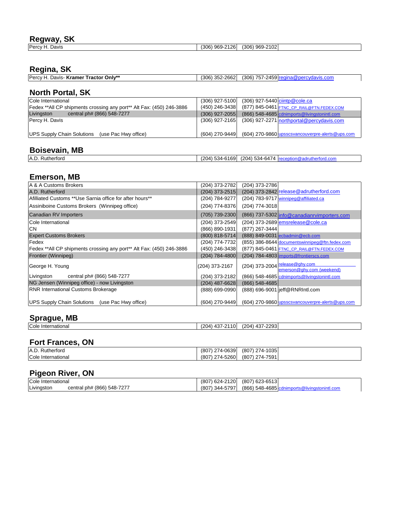### **Regway, SK**

| $D_{\alpha r}$<br>Javıs<br>51. | 2102 <sub>1</sub><br>2126<br>$\sqrt{2}$<br>nnr<br>റ്റ്ര<br>≀ א∩ב<br>ັບປດ`<br>フいこ<br>JU.<br><u>JUV</u> |
|--------------------------------|-------------------------------------------------------------------------------------------------------|

## **Regina, SK**

| <b>Percy</b><br>Tractor Only**<br>· Kramer<br>Davis· | -2662 <br>$352 -$<br>(306) | 757-2459 regina<br>(306)<br><i>c</i> vdavis.com/ |  |
|------------------------------------------------------|----------------------------|--------------------------------------------------|--|
|------------------------------------------------------|----------------------------|--------------------------------------------------|--|

## **North Portal, SK**

| Cole International                                                   | $(306)$ 927-5100 | $(306)$ 927-5440 ciintp@cole.ca                  |
|----------------------------------------------------------------------|------------------|--------------------------------------------------|
| Fedex **All CP shipments crossing any port** Alt Fax: (450) 246-3886 | $(450)$ 246-3438 | (877) 845-0461 FTNC_CP_RAIL@FTN.FEDEX.COM        |
| Livingston<br>central ph# (866) 548-7277                             | $(306)$ 927-2055 | (866) 548-4685 cdnimports@livingstonintl.com     |
| <b>Percy H. Davis</b>                                                | $(306)$ 927-2165 | (306) 927-2271 northportal@percydavis.com        |
|                                                                      |                  |                                                  |
| <b>UPS Supply Chain Solutions</b><br>(use Pac Hwy office)            | $(604)$ 270-9449 | (604) 270-9860 upsscsvancouverpre-alerts@ups.com |

## **Boisevain, MB**

| A.D.<br>Rutherford |  |  | $(204)$ 534-6169 $(204)$ 534-6474 reception@adrutherford.com |
|--------------------|--|--|--------------------------------------------------------------|
|--------------------|--|--|--------------------------------------------------------------|

### **Emerson, MB**

| A & A Customs Brokers                                                | $(204)$ 373-2782   | $(204)$ 373-2786                                            |
|----------------------------------------------------------------------|--------------------|-------------------------------------------------------------|
| A.D. Rutherford                                                      | $(204)$ 373-2515   | (204) 373-2842 release@adrutherford.com                     |
| Afilliated Customs **Use Sarnia office for after hours**             | $(204) 784 - 9277$ | (204) 783-9717 winnipeg@affiliated.ca                       |
| Assiniboine Customs Brokers (Winnipeg office)                        | $(204)$ 774-8376   | $(204)$ 774-3018                                            |
| <b>Canadian RV Importers</b>                                         | (705) 739-2300     | (866) 737-5302 info@canadianrvimporters.com                 |
| <b>Cole International</b>                                            | $(204)$ 373-2549   | $(204)$ 373-2689 emsrelease @cole.ca                        |
| <b>CN</b>                                                            | $(866) 890 - 1931$ | $(877)$ 267-3444                                            |
| <b>Expert Customs Brokers</b>                                        | $(800) 818 - 5714$ | (888) 849-0031 ecbadmin@ecb.com                             |
| <b>Fedex</b>                                                         | $(204)$ 774-7732   | (855) 386-8644 documentswinnipeg@ftn.fedex.com              |
| Fedex **All CP shipments crossing any port** Alt Fax: (450) 246-3886 | $(450)$ 246-3438   | (877) 845-0461 FTNC CP RAIL@FTN.FEDEX.COM                   |
| <b>Frontier (Winnipeg)</b>                                           | $(204) 784 - 4800$ | (204) 784-4803 imports@frontierscs.com                      |
| George H. Young                                                      | $(204)$ 373-2167   | (204) 373-2004 release@ghy.com<br>emerson@ghy.com (weekend) |
| Livingston<br>central ph# (866) 548-7277                             | $(204)$ 373-2182   | (866) 548-4685 cdnimports@livingstonintl.com                |
| NG Jensen (Winnipeg office) - now Livingston                         | $(204)$ 487-6628   | $(866) 548 - 4685$                                          |
| <b>RNR International Customs Brokerage</b>                           | (888) 699-0990     | (888) 696-9001 jeff@RNRIntl.com                             |
| UPS Supply Chain Solutions (use Pac Hwy office)                      | $(604)$ 270-9449   | (604) 270-9860 upsscsvancouverpre-alerts@ups.com            |

## **Sprague, MB**

|--|

## **Fort Frances, ON**

| A.D. Rutherford    | $(807)$ 274-0639 | (807) 274-1035 |
|--------------------|------------------|----------------|
| Cole International | (807) 274-5260   | (807) 274-7591 |

# **Pigeon River, ON**

| Cole International |                            | 0624-2120<br>(807) | $(807)$ 623-6513                                    |
|--------------------|----------------------------|--------------------|-----------------------------------------------------|
| Livingston         | central ph# (866) 548-7277 | 344-5797<br>(807)  | $(866)$ 548-4685 $cc$<br>'ınastonıntl.com<br>rtsWii |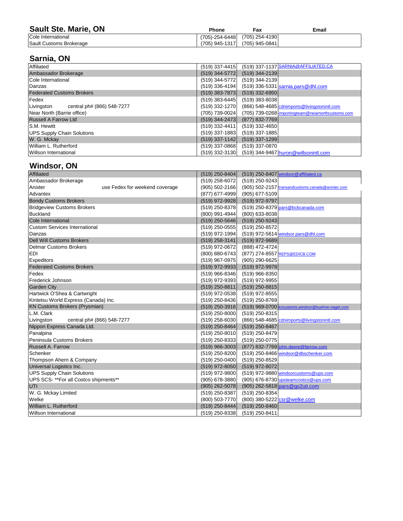| <b>Sault Ste. Marie, ON</b>    | Phone                                  | Fax                               | <b>Email</b> |
|--------------------------------|----------------------------------------|-----------------------------------|--------------|
| Cole International             | $(705)$ -254-6448 $(705)$ 254-4190 $($ |                                   |              |
| <b>Sault Customs Brokerage</b> |                                        | $(705)$ 945-1317 $(705)$ 945-0841 |              |

# **Sarnia, ON**

| <b>Affiliated</b>                        | (519) 337-1137 SARNIA@AFFILIATED.CA<br>$(519)$ 337-4415             |
|------------------------------------------|---------------------------------------------------------------------|
| Ambassador Brokerage                     | $(519)$ 344-5772<br>$(519)$ 344-2139                                |
| Cole International                       | $(519)$ 344-5772<br>(519) 344-2139                                  |
| Danzas                                   | $(519)$ 336-4194<br>(519) 336-5331 sarnia.pars@dhl.com              |
| <b>Federated Customs Brokers</b>         | $(519)$ 383-7873<br>$(519)$ 332-6950                                |
| <b>Fedex</b>                             | $(519)$ 383-6445<br>$(519)$ 383-8038                                |
| Livingston<br>central ph# (866) 548-7277 | $(519)$ 332-1270<br>(866) 548-4685 cdnimports@livingstonintl.com    |
| Near North (Barrie office)               | (705) 739-0024<br>(705) 739-0268 importingteam@nearnorthcustoms.com |
| <b>Russell A Farrow Ltd</b>              | $(519)$ 344-2473<br>(877) 832-7769                                  |
| <b>S.M. Hewitt</b>                       | $(519)$ 332-4411<br>$(519)$ 332-4650                                |
| UPS Supply Chain Solutions               | $(519)$ 337-1883<br>$(519)$ 337-1885                                |
| W. G. Mckay                              | $(519)$ 337-1142<br>$(519)$ 337-1299                                |
| William L. Rutherford                    | $(519)$ 337-0868<br>(519) 337-0870                                  |
| Willson International                    | (519) 332-3130 (519) 344-9467 huron@willsonintl.com                 |

## **Windsor, ON**

| <b>Affiliated</b>                         | $(519)$ 250-8404<br>(519) 250-8407 windsor@affiliated.ca                |
|-------------------------------------------|-------------------------------------------------------------------------|
| Ambassador Brokerage                      | $(519)$ 258-6072<br>$(519)$ 250-9243                                    |
| use Fedex for weekend coverage<br>Anixter | $(905) 502 - 2166$<br>(905) 502-2157 transandcustoms.canada@anixter.com |
| Advantex                                  | (877) 677-4999<br>$(905)$ 677-5109                                      |
| <b>Bondy Customs Brokers</b>              | $(519)$ 972-9928<br>$(519)$ 972-9797                                    |
| <b>Bridgeview Customs Brokers</b>         | $(519)$ 250-8378<br>(519) 250-8379 pars@bcbcanada.com                   |
| Buckland                                  | $(800)$ 991-4944<br>$(800)$ 633-8038                                    |
| Cole International                        | $(519)$ 250-5646<br>$(519)$ 250-9243                                    |
| <b>Custom Services International</b>      | $(519)$ 250-0555<br>$(519)$ 250-8572                                    |
| <i>Danzas</i>                             | $(519)$ 972-1994<br>(519) 972-5614 windsor.pars@dhl.com                 |
| <b>Dell Will Customs Brokers</b>          | $(519)$ 258-3141<br>$(519)$ 972-9689                                    |
| Delmar Customs Brokers                    | $(519)$ 972-0672<br>(888) 472-4724                                      |
| <b>EDI</b>                                | $(800) 880 - 6743$<br>(877) 274-8557 REPS@EDICB.COM                     |
| <b>Expeditors</b>                         | $(519)$ 967-0975<br>$(905)$ 290-6625                                    |
| <b>Federated Customs Brokers</b>          | $(519)$ 972-9933<br>$(519)$ 972-9978                                    |
| <b>Fedex</b>                              | $(519)$ 966-8346<br>$(519)$ 966-8350                                    |
| <b>Frederick Johnson</b>                  | (519) 972-9393<br>(519) 972-9955                                        |
| <b>Garden City</b>                        | $(519)$ 250-8811<br>$(519)$ 250-8815                                    |
| Hartwick O'Shea & Cartwright              | $(519)$ 972-8555<br>$(519)$ 972-0538                                    |
| Kintetsu World Express (Canada) Inc.      | $(519)$ 250-8769<br>$(519)$ 250-8436                                    |
| <b>KN Customs Brokers (Prysmian)</b>      | $(519)$ 250-3916<br>(519) 969-0700 kncustoms.windsor@kuehne-nagel.com   |
| L.M. Clark                                | $(519)$ 250-8000<br>$(519)$ 250-8315                                    |
| Livingston<br>central ph# (866) 548-7277  | $(519)$ 258-6030<br>(866) 548-4685 cdnimports@livingstonintl.com        |
| Nippon Express Canada Ltd.                | $(519)$ 250-8464<br>$(519)$ 250-8467                                    |
| Panalpina                                 | $(519)$ 250-8010<br>(519) 250-8479                                      |
| Peninsula Customs Brokers                 | $(519)$ 250-8333<br>$(519)$ 250-0775                                    |
| <b>Russell A. Farrow</b>                  | $(519)$ 966-3003<br>(877) 832-7769 john.deere@farrow.com                |
| Schenker                                  | $(519)$ 250-8200<br>(519) 250-8466 windsor@dbschenker.com               |
| Thompson Ahern & Company                  | $(519)$ 250-0400<br>$(519)$ 250-8529                                    |
| Universal Logistics Inc.                  | $(519)$ 972-8050<br>$(519)$ 972-8072                                    |
| UPS Supply Chain Solutions                | $(519)$ 972-9800<br>(519) 972-9880 windsorcustoms@ups.com               |
| UPS SCS- **For all Costco shipments**     | $(905)$ 678-3880<br>(905) 676-8730 upsteamcostco@ups.com                |
| <b>UTI</b>                                | $(905) 262 - 5078$<br>(905) 262-5818 pars@go2uti.com                    |
| W. G. Mckay Limited                       | $(519)$ 250-8387<br>$(519)$ 250-8354                                    |
| <b>Welke</b>                              | (800) 380-5222 csr@welke.com<br>(800) 503-7770                          |
| <b>William L. Rutherford</b>              | $(519)$ 250-8444<br>$(519)$ 250-8460                                    |
| Willson International                     | $(519)$ 250-8338<br>$(519)$ 250-8411                                    |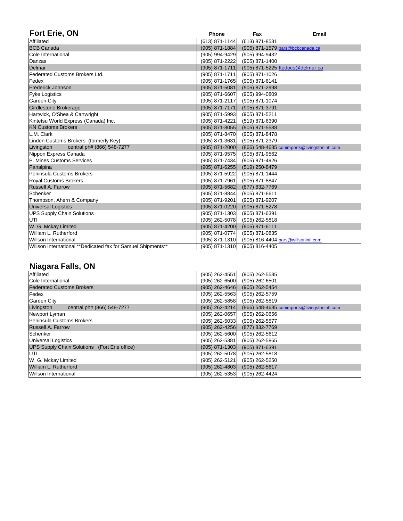| <b>Fort Erie, ON</b>                                         | <b>Phone</b>       | Fax                | <b>Email</b>                                 |
|--------------------------------------------------------------|--------------------|--------------------|----------------------------------------------|
| Affiliated                                                   | $(613) 871 - 1144$ | $(613)$ 871-8531   |                                              |
| <b>BCB Canada</b>                                            | $(905) 871 - 1884$ |                    | (905) 871-1579 pars@bcbcanada.ca             |
| Cole International                                           | $(905)$ 994-9429   | $(905)$ 994-9432   |                                              |
| <i>Danzas</i>                                                | $(905)$ 871-2222   | $(905)$ 871-1400   |                                              |
| Delmar                                                       | $(905) 871 - 1711$ |                    | (905) 871-5225 ftedocs@delmar.ca             |
| <b>Federated Customs Brokers Ltd.</b>                        | $(905) 871 - 1711$ | $(905)$ 871-1026   |                                              |
| <b>Fedex</b>                                                 | $(905) 871 - 1765$ | $(905)$ 871-6141   |                                              |
| <b>Frederick Johnson</b>                                     | $(905) 871 - 5081$ | $(905)$ 871-2998   |                                              |
| <b>Fyke Logistics</b>                                        | $(905) 871 - 6607$ | $(905)$ 994-0809   |                                              |
| <b>Garden City</b>                                           | $(905) 871 - 2117$ | $(905) 871 - 1074$ |                                              |
| <b>Girdlestone Brokerage</b>                                 | $(905) 871 - 7171$ | $(905) 871 - 3791$ |                                              |
| Hartwick, O'Shea & Cartwright                                | $(905)$ 871-5993   | $(905)$ 871-5211   |                                              |
| Kintetsu World Express (Canada) Inc.                         | $(905)$ 871-4221   | $(519)$ 871-6390   |                                              |
| <b>KN Customs Brokers</b>                                    | $(905) 871 - 8055$ | $(905)$ 871-5588   |                                              |
| L.M. Clark                                                   | $(905)$ 871-8470   | $(905)$ 871-8478   |                                              |
| Linden Customs Brokers (formerly Key)                        | $(905)$ 871-3631   | $(905)$ 871-2379   |                                              |
| Livingston<br>central ph# (866) 548-7277                     | $(905) 871 - 2000$ |                    | (866) 548-4685 cdnimports@livingstonintl.com |
| Nippon Express Canada                                        | $(905)$ 871-9575   | $(905)$ 871-9562   |                                              |
| <b>P. Mines Customs Services</b>                             | $(905)$ 871-7434   | $(905)$ 871-4926   |                                              |
| Panalpina                                                    | $(905) 871 - 6255$ | $(519)$ 250-8479   |                                              |
| Peninsula Customs Brokers                                    | $(905) 871 - 5922$ | $(905)$ 871-1444   |                                              |
| <b>Royal Customs Brokers</b>                                 | $(905) 871 - 7961$ | (905) 871-8847     |                                              |
| <b>Russell A. Farrow</b>                                     | $(905) 871 - 5682$ | $(877) 832 - 7769$ |                                              |
| <b>Schenker</b>                                              | $(905) 871 - 8844$ | $(905)$ 871-6611   |                                              |
| Thompson, Ahern & Company                                    | $(905)$ 871-9201   | $(905)$ 871-9207   |                                              |
| <b>Universal Logistics</b>                                   | $(905) 871 - 0220$ | $(905)$ 871-5278   |                                              |
| <b>UPS Supply Chain Solutions</b>                            | $(905) 871 - 1303$ | $(905)$ 871-6391   |                                              |
| <b>IUTI</b>                                                  | $(905)$ 262-5078   | $(905)$ 262-5818   |                                              |
| W. G. Mckay Limited                                          | $(905) 871 - 4200$ | $(905)$ 871-6111   |                                              |
| William L. Rutherford                                        | $(905) 871 - 0774$ | $(905)$ 871-0835   |                                              |
| Willson International                                        | $(905)$ 871-1310   |                    | $(905)$ 816-4404 pars @ willsonintl.com      |
| Willson International **Dedicated fax for Samuel Shipments** | $(905)$ 871-1310   | $(905)$ 816-4405   |                                              |

# **Niagara Falls, ON**

| <b>Affiliated</b>                             | $(905)$ 262-4551<br>$(905)$ 262-5585                               |
|-----------------------------------------------|--------------------------------------------------------------------|
| Cole International                            | $(905)$ 262-6500<br>$(905)$ 262-6501                               |
| <b>Federated Customs Brokers</b>              | $(905)$ 262-4646<br>$(905)$ 262-5454                               |
| Fedex                                         | $(905)$ 262-5563<br>$(905)$ 262-5759                               |
| <b>Garden City</b>                            | $(905)$ 262-5858<br>$(905)$ 262-5819                               |
| Livingston<br>central ph# (866) 548-7277      | $(905) 262 - 4214$<br>(866) 548-4685 cdnimports@livingstonintl.com |
| Newport Lyman                                 | $(905)$ 262-0657<br>$(905)$ 262-0656                               |
| Peninsula Customs Brokers                     | $(905)$ 262-5033<br>$(905)$ 262-5577                               |
| <b>Russell A. Farrow</b>                      | $(905)$ 262-4256<br>$(877) 832 - 7769$                             |
| Schenker                                      | $(905)$ 262-5600<br>$(905)$ 262-5612                               |
| Universal Logistics                           | $(905)$ 262-5381<br>$(905)$ 262-5865                               |
| UPS Supply Chain Solutions (Fort Erie office) | $(905) 871 - 1303$<br>$(905) 871 - 6391$                           |
| <b>IUTI</b>                                   | $(905)$ 262-5078<br>$(905)$ 262-5818                               |
| W. G. Mckay Limited                           | $(905)$ 262-5121<br>$(905)$ 262-5250                               |
| <b>William L. Rutherford</b>                  | $(905)$ 262-4803<br>$(905)$ 262-5617                               |
| Willson International                         | $(905)$ 262-4424<br>$(905)$ 262-5353                               |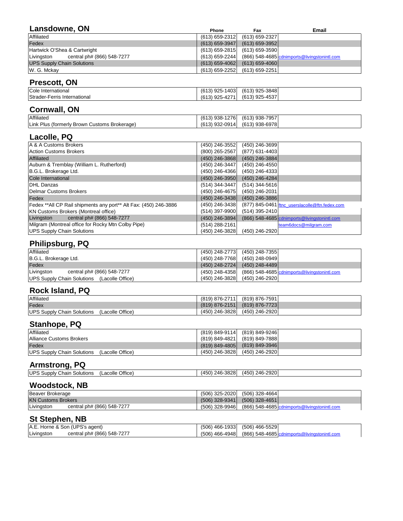| Lansdowne, ON                            | <b>Phone</b>       | <b>Fax</b>         | <b>Email</b>                                 |
|------------------------------------------|--------------------|--------------------|----------------------------------------------|
| <b>Affiliated</b>                        | $(613) 659 - 2312$ | $(613) 659 - 2327$ |                                              |
| <b>Fedex</b>                             | $(613) 659 - 3947$ | $(613) 659 - 3952$ |                                              |
| Hartwick O'Shea & Cartwright             | $(613) 659 - 2815$ | $(613) 659 - 3590$ |                                              |
| central ph# (866) 548-7277<br>Livingston | $(613) 659 - 2244$ |                    | (866) 548-4685 cdnimports@livingstonintl.com |
| <b>UPS Supply Chain Solutions</b>        | $(613) 659 - 4062$ | $(613) 659 - 4060$ |                                              |
| W. G. Mckay                              | $(613) 659 - 2252$ | $(613) 659 - 2251$ |                                              |

## **Prescott, ON**

| Cole International                | 13) 925-1403<br>(613,                 | $(613)$ 925-3848 |
|-----------------------------------|---------------------------------------|------------------|
| Strader-Ferris<br>; International | -4271'،<br>(613)<br>$(3)$ 925 $\cdot$ | $(613)$ 925-4537 |

# **Cornwall, ON**

| <b>Affiliated</b>                            | 1276<br>(613)<br>$(3)938 - 12$ | $(613)$ 938-7957 |  |
|----------------------------------------------|--------------------------------|------------------|--|
| Link Plus (formerly Brown Customs Brokerage) | $(613)$ 932-0914               | $(613)$ 938-6978 |  |

# **Lacolle, PQ**

| A & A Customs Brokers                                            | $(450)$ 246-3699<br>$(450)$ 246-3552                               |
|------------------------------------------------------------------|--------------------------------------------------------------------|
| <b>Action Customs Brokers</b>                                    | $(800)$ 265-2567<br>$(877)$ 631-4403                               |
| <b>Affiliated</b>                                                | (450) 246-3868<br>$(450)$ 246-3884                                 |
| Auburn & Tremblay (William L. Rutherford)                        | $(450)$ 246-3447<br>$(450)$ 246-4550                               |
| B.G.L. Brokerage Ltd.                                            | $(450)$ 246-4366<br>$(450)$ 246-4333                               |
| Cole International                                               | $(450)$ 246-3950<br>$(450)$ 246-4284                               |
| <b>DHL Danzas</b>                                                | $(514)$ 344-3447<br>$(514)$ 344-5616                               |
| Delmar Customs Brokers                                           | $(450)$ 246-4675<br>(450) 246-2031                                 |
| Fedex                                                            | (450) 246-3438<br>$(450)$ 246-3886                                 |
| Fedex **All CP Rail shipments any port** Alt Fax: (450) 246-3886 | $(450)$ 246-3438<br>(877) 845-0461 ftnc_userslacolle@ftn.fedex.com |
| <b>KN Customs Brokers (Montreal office)</b>                      | $(514)$ 395-2410<br>$(514)$ 397-9900                               |
| Livingston<br>central ph# (866) 548-7277                         | (450) 246-3894<br>(866) 548-4685 cdnimports@livingstonintl.com     |
| Milgram (Montreal office for Rocky Mtn Colby Pipe)               | $(514)$ 288-2161<br>team6docs@milgram.com                          |
| <b>UPS Supply Chain Solutions</b>                                | (450) 246-3828<br>$(450)$ 246-2920                                 |

### **Philipsburg, PQ**

| <b>Affiliated</b>                           | (450) 248-2773 (450) 248-7355                               |
|---------------------------------------------|-------------------------------------------------------------|
| B.G.L. Brokerage Ltd.                       | $(450)$ 248-7768 $(450)$ 248-0949                           |
| Fedex                                       | $(450)$ 248-2724 $(450)$ 248-4489                           |
| Livingston<br>central ph# (866) 548-7277    | (450) 248-4358 (866) 548-4685 cdnimports@livingstonintl.com |
| UPS Supply Chain Solutions (Lacolle Office) | (450) 246-3828 (450) 246-2920                               |

### **Rock Island, PQ**

| <b>Affiliated</b>                              | (819) 876-2711 (819) 876-7591     |  |
|------------------------------------------------|-----------------------------------|--|
| Fedex                                          | $(819)$ 876-2151 (819) 876-7723   |  |
| UPS Supply Chain Solutions<br>(Lacolle Office) | $(450)$ 246-3828 $(450)$ 246-2920 |  |

### **Stanhope, PQ**

| <b>Affiliated</b>                           | (819) 849-9114 (819) 849-9246         |
|---------------------------------------------|---------------------------------------|
| Alliance Customs Brokers                    | (819) 849-4821 (819) 849-7888         |
| Fedex                                       | $(819) 849 - 4805$ $(819) 849 - 3946$ |
| UPS Supply Chain Solutions (Lacolle Office) | $(450)$ 246-3828 $(450)$ 246-2920     |

# **Armstrong, PQ**

| <b>UPS Supply Chain Solutions</b> | (Lacolle Office) | $(450)$ 246-3828 | (450) 246-2920 |  |
|-----------------------------------|------------------|------------------|----------------|--|

## **Woodstock, NB**

| Beaver Brokerage          |                            | $(506)$ 325-2020 | (506) 328-4664                                |
|---------------------------|----------------------------|------------------|-----------------------------------------------|
| <b>KN Customs Brokers</b> |                            | $(506)$ 328-9341 | $(506)$ 328-4651                              |
| Livingston                | central ph# (866) 548-7277 | $(506)$ 328-9946 | (866) 548-4685 cdnimports @livingstonintl.com |

### **St Stephen, NB**

|            | A.E. Horne & Son (UPS's agent) | $(506)$ 466-1933 (506) 466-5529                                           |
|------------|--------------------------------|---------------------------------------------------------------------------|
| Livingston | central ph# (866) 548-7277     | $(506)$ 466-4948 $(866)$ 548-4685 $\alpha$ cdnimports @livingstonintl.com |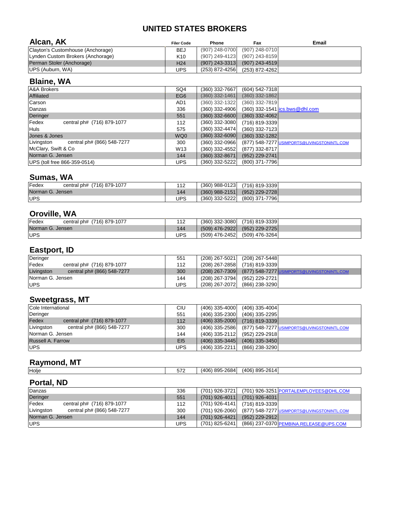| Alcan, AK                                   | <b>Filer Code</b> | <b>Phone</b>     | Fax                | <b>Email</b>                                |
|---------------------------------------------|-------------------|------------------|--------------------|---------------------------------------------|
| Clayton's Customhouse (Anchorage)           | <b>BEJ</b>        | $(907)$ 248-0700 | $(907) 248 - 0710$ |                                             |
| Lynden Custom Brokers (Anchorage)           | K <sub>10</sub>   | $(907)$ 249-4123 | (907) 243-8159     |                                             |
| Perman Stoler (Anchorage)                   | H <sub>24</sub>   | $(907)$ 243-3313 | $(907)$ 243-4519   |                                             |
| UPS (Auburn, WA)                            | <b>UPS</b>        | $(253)$ 872-4256 | $(253)$ 872-4262   |                                             |
| <b>Blaine, WA</b>                           |                   |                  |                    |                                             |
| <b>A&amp;A Brokers</b>                      | SQ4               | $(360)$ 332-7667 | $(604) 542 - 7318$ |                                             |
| <b>Affiliated</b>                           | EG <sub>6</sub>   | $(360)$ 332-1461 | $(360)$ 332-1862   |                                             |
| <b>Carson</b>                               | AD1               | $(360)$ 332-1322 | $(360)$ 332-7819   |                                             |
| Danzas                                      | 336               | $(360)$ 332-4906 |                    | (360) 332-1541   ics.bws@dhl.com            |
| Deringer                                    | 551               | $(360)$ 332-6600 | $(360)$ 332-4062   |                                             |
| $\vert$ Fedex<br>central ph# (716) 879-1077 | 112               | $(360)$ 332-3080 | $(716)$ 819-3339   |                                             |
| <b>Huls</b>                                 | 575               | $(360)$ 332-4474 | $(360)$ 332-7123   |                                             |
| Jones & Jones                               | WQ0               | $(360)$ 332-6090 | $(360)$ 332-1282   |                                             |
| Livingston<br>central ph# (866) 548-7277    | 300               | (360) 332-0966   |                    | (877) 548-7277 USIMPORTS@LIVINGSTONINTL.COM |

| Jones & Jones                            | WQ0             |                  | $(360)$ 332-6090 $(360)$ 332-1282 |                                                                     |
|------------------------------------------|-----------------|------------------|-----------------------------------|---------------------------------------------------------------------|
| Livingston<br>central ph# (866) 548-7277 | 300             |                  |                                   | (360) 332-0966  (877) 548-7277  <u>USIMPORTS@LIVINGSTONINTL.COM</u> |
| McClary, Swift & Co                      | W <sub>13</sub> |                  | $(360)$ 332-4552 $(877)$ 332-8717 |                                                                     |
| Norman G. Jensen                         | 144             |                  | $(360)$ 332-8671 $(952)$ 229-2741 |                                                                     |
| UPS (toll free 866-359-0514)             | UPS             | $(360)$ 332-5222 | $(800)$ 371-7796                  |                                                                     |

## **Sumas, WA**

| Fedex<br>central ph# (716) 879-1077 | 112 | $(360)$ 988-0123 | $(716)$ 819-3339 |  |
|-------------------------------------|-----|------------------|------------------|--|
| Norman G. Jensen                    | 144 | $(360)$ 988-2151 | $(952)$ 229-2728 |  |
| <b>UPS</b>                          | UPS | $(360)$ 332-5222 | $(800)$ 371-7796 |  |

# **Oroville, WA**

| Fedex<br>central ph# (716) 879-1077 | 112 |                  | $(360)$ 332-3080 $(716)$ 819-3339 |
|-------------------------------------|-----|------------------|-----------------------------------|
| Norman G. Jensen                    | 144 | $(509)$ 476-2922 | $(952)$ 229-2725                  |
| <b>IUPS</b>                         | UPS | (509) 476-2452   | (509) 476-3264                    |

## **Eastport, ID**

| Deringer                                 | 551        | $(208)$ 267-5021 | $(208)$ 267-5448                            |
|------------------------------------------|------------|------------------|---------------------------------------------|
| Fedex<br>central ph# (716) 879-1077      | 112        | $(208)$ 267-2858 | (716) 819-3339                              |
| Livingston<br>central ph# (866) 548-7277 | 300        | $(208)$ 267-7309 | (877) 548-7277 USIMPORTS@LIVINGSTONINTL.COM |
| Norman G. Jensen                         | 144        | $(208)$ 267-3794 | (952) 229-2721                              |
| <b>IUPS</b>                              | <b>UPS</b> | $(208)$ 267-2072 | $(866)$ 238-3290                            |

## **Sweetgrass, MT**

| Cole International                       | <b>CIU</b>        | $(406)$ 335-4000<br>$(406)$ 335-4004                            |
|------------------------------------------|-------------------|-----------------------------------------------------------------|
| Deringer                                 | 551               | $(406)$ 335-2300<br>$(406)$ 335-2295                            |
| Fedex<br>central ph# (716) 879-1077      | 112               | $(406)$ 335-2000<br>$(716)$ 819-3339                            |
| Livingston<br>central ph# (866) 548-7277 | 300               | $(406)$ 335-2586<br>(877) 548-7277 USIMPORTS@LIVINGSTONINTL.COM |
| Norman G. Jensen                         | 144               | $(406)$ 335-2112<br>$(952)$ 229-2918                            |
| <b>Russell A. Farrow</b>                 | $E$ <sub>15</sub> | $(406)$ 335-3445<br>$(406)$ 335-3450                            |
| UPS                                      | <b>UPS</b>        | $(406)$ 335-2211<br>$(866)$ 238-3290                            |

# **Raymond, MT**

|  | <b>Holje</b> | $- - \epsilon$ | $Q \cap E$<br>$-$ 0.00 $\mu$<br>(40 <sup>o</sup> )<br>7011 | ne.<br>OOE<br>$\Delta\Omega$<br>T \ J \ |  |
|--|--------------|----------------|------------------------------------------------------------|-----------------------------------------|--|
|--|--------------|----------------|------------------------------------------------------------|-----------------------------------------|--|

# **Portal, ND**

| Danzas                                   | 336        | (701) 926-3721        | (701) 926-3251 PORTALEMPLOYEES@DHL.COM             |
|------------------------------------------|------------|-----------------------|----------------------------------------------------|
| Deringer                                 | 551        | $(701)$ 926-4011      | $(701)$ 926-4031                                   |
| Fedex<br>central ph# (716) 879-1077      | 112        | (701) 926-4141 $\mid$ | $(716)$ 819-3339                                   |
| Livingston<br>central ph# (866) 548-7277 | 300        | (701) 926-2060 $\mid$ | <u>(877) 548-7277 USIMPORTS@LIVINGSTONINTL.COM</u> |
| Norman G. Jensen                         | 144        | $(701)$ 926-4421      | $(952)$ 229-2912                                   |
| <b>UPS</b>                               | <b>UPS</b> | $(701)$ 825-6241      | (866) 237-0370 PEMBINA.RELEASE@UPS.COM             |

### **UNITED STATES BROKERS**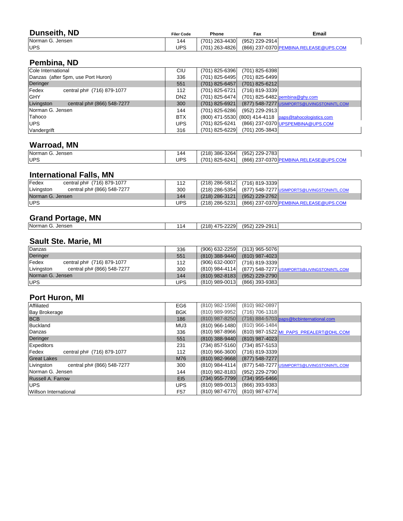| <b>Dunseith, ND</b> | <b>Filer Code</b> | <b>Phone</b>     | Fax            | <b>Email</b>                           |
|---------------------|-------------------|------------------|----------------|----------------------------------------|
| Norman G. Jensen    | 144               | $(701)$ 263-4430 | (952) 229-2914 |                                        |
| <b>UPS</b>          | UPS               | $(701)$ 263-4826 |                | (866) 237-0370 PEMBINA.RELEASE@UPS.COM |
|                     |                   |                  |                |                                        |

# **Pembina, ND**

| Cole International                          | <b>CIU</b>      | $(701)$ 825-6396<br>$(701)$ 825-6398                            |
|---------------------------------------------|-----------------|-----------------------------------------------------------------|
| Danzas (after 5pm, use Port Huron)          | 336             | $(701)$ 825-6499<br>$(701)$ 825-6495                            |
| Deringer                                    | 551             | $(701)$ 825-6457<br>$(701)$ 825-6212                            |
| $\vert$ Fedex<br>central ph# (716) 879-1077 | 112             | $(701)$ 825-6721<br>$(716)$ 819-3339                            |
| <b>IGHY</b>                                 | DN <sub>2</sub> | $(701)$ 825-6474<br>$(701)$ 825-6482 pembina@ghy.com            |
| Livingston<br>central ph# (866) 548-7277    | 300             | (877) 548-7277 USIMPORTS@LIVINGSTONINTL.COM<br>$(701)$ 825-6921 |
| Norman G. Jensen                            | 144             | $(701)$ 825-6286<br>$(952)$ 229-2913                            |
| Tahoco                                      | <b>BTX</b>      | (800) 471-5530 (800) 414-4118 paps@tahocologistics.com          |
| <b>IUPS</b>                                 | <b>UPS</b>      | (866) 237-0370 UPSPEMBINA@UPS.COM<br>$(701)$ 825-6241           |
| <i><u><b>Nandergrift</b></u></i>            | 316             | $(701)$ 825-6229<br>$(701)$ 205-3843                            |

# **Warroad, MN**

| Norman G. Jensen | 44         | $(218)$ 386-3264 | $(952)$ 229-2783                       |
|------------------|------------|------------------|----------------------------------------|
| UPS              | <b>UPS</b> | $(701)$ 825-6241 | (866) 237-0370 PEMBINA.RELEASE@UPS.COM |

| Fedex<br>central ph# (716) 879-1077      | 112 |                  | (218) 286-5812 (716) 819-3339                       |
|------------------------------------------|-----|------------------|-----------------------------------------------------|
| Livingston<br>central ph# (866) 548-7277 | 300 | $(218)$ 286-5354 | (877) 548-7277 <u> USIMPORTS@LIVINGSTONINTL.COM</u> |
| Norman G. Jensen                         | 144 | $(218)$ 286-3121 | $(952)$ 229-2762                                    |
| <b>IUPS</b>                              | UPS | (218) 286-5231   | <u>(866) 237-0370 PEMBINA.RELEASE@UPS.COM</u>       |

| <b>Norman</b><br>Jensen<br>$\tilde{\phantom{a}}$ | $\overline{ }$<br>14 | 2229<br>(0.10)<br>$\overline{A}$ .<br>റ<br>$\angle$ $\angle$ $\cup$ | 229-2911<br>(952)<br>$. \cup$ 20 $\cup$<br>∶ ت∟ ∠ |  |
|--------------------------------------------------|----------------------|---------------------------------------------------------------------|---------------------------------------------------|--|
|                                                  |                      |                                                                     |                                                   |  |

# **Sault Ste. Marie, MI**

| Danzas                                   | 336        | $(906) 632 - 2259$ | $(313)$ 965-5076 |                                                    |
|------------------------------------------|------------|--------------------|------------------|----------------------------------------------------|
| Deringer                                 | 551        | $(810)$ 388-9440   | $(810)$ 987-4023 |                                                    |
| Fedex<br>central ph# (716) 879-1077      | 112        | $(906) 632 - 0007$ | $(716)$ 819-3339 |                                                    |
| Livingston<br>central ph# (866) 548-7277 | 300        | $(810)$ 984-4114   |                  | <u>(877) 548-7277 USIMPORTS@LIVINGSTONINTL.COM</u> |
| Norman G. Jensen                         | 144        | $(810)$ 982-8183   | $(952)$ 229-2790 |                                                    |
| <b>IUPS</b>                              | <b>UPS</b> | $(810)$ 989-0013   | $(866)$ 393-9383 |                                                    |

## **Port Huron, MI**

| Affiliated                               | EG6             | (810) 982-1598<br>(810) 982-0897                                |
|------------------------------------------|-----------------|-----------------------------------------------------------------|
| <b>Bay Brokerage</b>                     | <b>BGK</b>      | (810) 989-9952<br>$(716) 706 - 1318$                            |
| <b>BCB</b>                               | 186             | $(810)$ 987-8250<br>(716) 884-5703 paps@bcbinternational.com    |
| Buckland                                 | MU3             | $(810)$ 966-1484<br>$(810)$ 966-1480                            |
| Danzas                                   | 336             | $(810)$ 987-8966<br>(810) 987-1522 MI PAPS PREALERT@DHL.COM     |
| Deringer                                 | 551             | $(810)$ 388-9440<br>$(810)$ 987-4023                            |
| Expeditors                               | 231             | $(734)$ 857-5160<br>$(734)$ 857-5153                            |
| central ph# (716) 879-1077<br>Fedex      | 112             | $(810)$ 966-3600<br>$(716)$ 819-3339                            |
| <b>Great Lakes</b>                       | M76             | $(810)$ 982-9668<br>$(877)$ 548-7277                            |
| Livingston<br>central ph# (866) 548-7277 | 300             | $(810)$ 984-4114<br>(877) 548-7277 USIMPORTS@LIVINGSTONINTL.COM |
| Norman G. Jensen                         | 144             | (810) 982-8183<br>$(952)$ 229-2790                              |
| <b>Russell A. Farrow</b>                 | E15             | $(734)$ 955-7799<br>$(734)$ 955-6466                            |
| <b>IUPS</b>                              | <b>UPS</b>      | $(810)$ 989-0013<br>$(866)$ 393-9383                            |
| <b>Willson International</b>             | F <sub>57</sub> | $(810)$ 987-6770<br>$(810)$ 987-6774                            |

### **Grand Portage, MN**

# **International Falls, MN**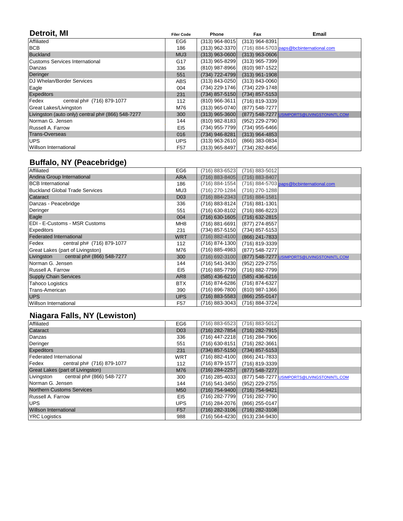| Detroit, MI                                       | <b>Filer Code</b> | <b>Phone</b>       | Fax                | <b>Email</b>                                |
|---------------------------------------------------|-------------------|--------------------|--------------------|---------------------------------------------|
| <b>Affiliated</b>                                 | EG <sub>6</sub>   | $(313)$ 964-8015   | $(313)$ 964-8391   |                                             |
| <b>BCB</b>                                        | 186               | $(313)$ 962-3370   |                    | (716) 884-5703 paps@bcbinternational.com    |
| Buckland                                          | MU3               | $(313)$ 963-0600   | $(313)$ 963-0606   |                                             |
| <b>Customs Services International</b>             | G17               | $(313)$ 965-8299   | $(313)$ 965-7399   |                                             |
| Danzas                                            | 336               | (810) 987-8966     | (810) 987-1522     |                                             |
| Deringer                                          | 551               | (734) 722-4799     | $(313)$ 961-1908   |                                             |
| DJ Whelan/Border Services                         | <b>ABS</b>        | $(313) 843 - 0250$ | $(313) 843 - 0060$ |                                             |
| Eagle                                             | 004               | $(734)$ 229-1746   | $(734)$ 229-1748   |                                             |
| <b>Expeditors</b>                                 | 231               | $(734)$ 857-5150   | $(734)$ 857-5153   |                                             |
| Fedex<br>central ph# (716) 879-1077               | 112               | $(810)$ 966-3611   | $(716)$ 819-3339   |                                             |
| <b>Great Lakes/Livingston</b>                     | M76               | $(313)$ 965-0740   | $(877)$ 548-7277   |                                             |
| Livingston (auto only) central ph# (866) 548-7277 | 300               | $(313)$ 965-3600   |                    | (877) 548-7277 USIMPORTS@LIVINGSTONINTL.COM |
| Norman G. Jensen                                  | 144               | $(810)$ 982-8183   | $(952)$ 229-2790   |                                             |
| <b>Russell A. Farrow</b>                          | $E$ <sub>15</sub> | (734) 955-7799     | $(734)$ 955-6466   |                                             |
| <b>Trans-Overseas</b>                             | 016               | (734) 946-8281     | $(313)$ 964-4853   |                                             |
| <b>UPS</b>                                        | <b>UPS</b>        | $(313)$ 963-2610   | $(866)$ 383-0834   |                                             |
| Willson International                             | F <sub>57</sub>   | $(313)$ 965-8497   | (734) 282-8456     |                                             |

# **Buffalo, NY (Peacebridge)**

| <b>Affiliated</b>                        | EG <sub>6</sub>   | $(716) 883 - 6523$ | $(716) 883 - 5012$ |                                             |
|------------------------------------------|-------------------|--------------------|--------------------|---------------------------------------------|
| Andina Group International               | <b>ARA</b>        | $(716) 883 - 8405$ | (716) 883-8407     |                                             |
| <b>BCB</b> International                 | 186               | $(716) 884 - 1554$ |                    | (716) 884-5703 paps@bcbinternational.com    |
| <b>Buckland Global Trade Services</b>    | MU3               | $(716)$ 270-1284   | $(716)$ 270-1288   |                                             |
| <b>Cataract</b>                          | <b>D03</b>        | $(716) 884 - 2343$ | $(716) 884 - 1581$ |                                             |
| Danzas - Peacebridge                     | 336               | $(716) 883 - 8124$ | $(716) 881 - 1301$ |                                             |
| Deringer                                 | 551               | $(716) 630 - 8102$ | $(716) 886 - 8223$ |                                             |
| Eagle                                    | 004               | $(716) 630 - 1605$ | $(716)$ 632-2815   |                                             |
| <b>EDI - E-Customs - MSR Customs</b>     | MH <sub>8</sub>   | $(716) 881 - 6691$ | $(877)$ 274-8557   |                                             |
| <b>Expeditors</b>                        | 231               | $(734)$ 857-5150   | $(734)$ 857-5153   |                                             |
| <b>Federated International</b>           | <b>WRT</b>        | $(716) 882 - 4100$ | $(866)$ 241-7833   |                                             |
| Fedex<br>central ph# (716) 879-1077      | 112               | $(716) 874 - 1300$ | $(716)$ 819-3339   |                                             |
| <b>Great Lakes (part of Livingston)</b>  | M76               | $(716) 885 - 4983$ | $(877)$ 548-7277   |                                             |
| central ph# (866) 548-7277<br>Livingston | 300               | $(716) 692 - 3100$ |                    | (877) 548-7277 USIMPORTS@LIVINGSTONINTL.COM |
| Norman G. Jensen                         | 144               | $(716) 541 - 3430$ | $(952)$ 229-2755   |                                             |
| <b>Russell A. Farrow</b>                 | $E$ <sub>15</sub> | $(716) 885 - 7799$ | $(716) 882 - 7799$ |                                             |
| <b>Supply Chain Services</b>             | AR <sub>8</sub>   | $(585)$ 436-6210   | $(585)$ 436-6216   |                                             |
| <b>Tahoco Logistics</b>                  | <b>BTX</b>        | $(716) 874 - 6286$ | (716) 874-6327     |                                             |
| <b>Trans-American</b>                    | 390               | $(716) 896 - 7800$ | $(810)$ 987-1366   |                                             |
| UPS                                      | <b>UPS</b>        | $(716) 883 - 5583$ | $(866)$ 255-0147   |                                             |
| Willson International                    | F57               | $(716) 883 - 3043$ | $(716) 884 - 3724$ |                                             |

# **Niagara Falls, NY (Lewiston)**

| Affiliated                              | EG <sub>6</sub> | $(716) 883 - 6523$ | $(716) 883 - 5012$                          |
|-----------------------------------------|-----------------|--------------------|---------------------------------------------|
| <b>Cataract</b>                         | <b>D03</b>      | $(716)$ 282-7854   | $(716)$ 282-7915                            |
| Danzas                                  | 336             | $(716)$ 447-2218   | $(716)$ 284-7906                            |
| Deringer                                | 551             | $(716)$ 630-8151   | $(716)$ 282-3661                            |
| <b>Expeditors</b>                       | 231             | $(734)$ 857-5150   | $(734)$ 857-5153                            |
| <b>Federated International</b>          | <b>WRT</b>      | $(716) 882 - 4100$ | $(866)$ 241-7833                            |
| Fedex central ph# (716) 879-1077        | 112             | $(716) 879 - 1577$ | $(716)$ 819-3339                            |
| <b>Great Lakes (part of Livingston)</b> | M76             | $(716) 284 - 2257$ | $(877)$ 548-7277                            |
| Livingston central ph# (866) 548-7277   | 300             | $(716)$ 285-4033   | (877) 548-7277 USIMPORTS@LIVINGSTONINTL.COM |
| Norman G. Jensen                        | 144             | $(716)$ 541-3450   | $(952)$ 229-2755                            |
| Northern Customs Services               | <b>M50</b>      | $(716) 754 - 9400$ | (716) 754-9421                              |
| <b>Russell A. Farrow</b>                | EI5             | $(716)$ 282-7799   | $(716)$ 282-7790                            |
| <b>IUPS</b>                             | <b>UPS</b>      | $(716) 284 - 2076$ | $(866)$ 255-0147                            |
| <b>Willson International</b>            | <b>F57</b>      | $(716)$ 282-3106   | $(716)$ 282-3108                            |
| <b>YRC Logistics</b>                    | 988             | $(716)$ 564-4230   | $(913)$ 234-9430                            |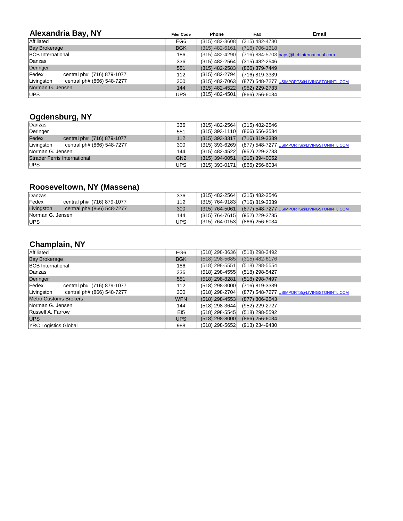| <b>Alexandria Bay, NY</b>                                 | <b>Filer Code</b> | <b>Phone</b>     | Fax                | <b>Email</b>                                |
|-----------------------------------------------------------|-------------------|------------------|--------------------|---------------------------------------------|
| <b>Affiliated</b>                                         | EG6               | $(315)$ 482-3608 | $(315)$ 482-4780   |                                             |
| <b>Bay Brokerage</b>                                      | <b>BGK</b>        | $(315)$ 482-6161 | $(716) 706 - 1318$ |                                             |
| <b>BCB</b> International                                  | 186               | $(315)$ 482-4290 |                    | (716) 884-5703 paps@bcbinternational.com    |
| Danzas                                                    | 336               | $(315)$ 482-2564 | $(315)$ 482-2546   |                                             |
| Deringer                                                  | 551               | $(315)$ 482-2583 | $(866)$ 379-7449   |                                             |
| $\blacktriangleright$ Fedex<br>central ph# (716) 879-1077 | 112               | $(315)$ 482-2794 | $(716)$ 819-3339   |                                             |
| Livingston<br>central ph# (866) 548-7277                  | 300               | $(315)$ 482-7063 |                    | (877) 548-7277 USIMPORTS@LIVINGSTONINTL.COM |
| Norman G. Jensen                                          | 144               | $(315)$ 482-4522 | $(952)$ 229-2733   |                                             |
| UPS                                                       | <b>UPS</b>        | $(315)$ 482-4501 | $(866)$ 256-6034   |                                             |

## **Ogdensburg, NY**

| <u>and the second second second second second second second second second second second second second second second</u><br>$\sim$ $\sim$ |                 |                  |                                             |
|------------------------------------------------------------------------------------------------------------------------------------------|-----------------|------------------|---------------------------------------------|
| Danzas                                                                                                                                   | 336             | $(315)$ 482-2564 | $(315)$ 482-2546                            |
| Deringer                                                                                                                                 | 551             | $(315)$ 393-1110 | $(866)$ 556-3534                            |
| Fedex<br>central ph# (716) 879-1077                                                                                                      | 112             | $(315)$ 393-3317 | $(716)$ 819-3339                            |
| Livingston<br>central ph# (866) 548-7277                                                                                                 | 300             | $(315)$ 393-6269 | (877) 548-7277 USIMPORTS@LIVINGSTONINTL.COM |
| Norman G. Jensen                                                                                                                         | 144             | $(315)$ 482-4522 | $(952)$ 229-2733                            |
| <b>Strader Ferris International</b>                                                                                                      | GN <sub>2</sub> | $(315)$ 394-0051 | $(315)$ 394-0052                            |
| UPS                                                                                                                                      | <b>UPS</b>      | $(315)$ 393-0171 | $(866)$ 256-6034                            |

# **Rooseveltown, NY (Massena)**

| Danzas                                     | 336 | $(315)$ 482-2546<br>$(315)$ 482-2564                              |  |
|--------------------------------------------|-----|-------------------------------------------------------------------|--|
| <b>Fedex</b><br>central ph# (716) 879-1077 | 112 | $(315)$ 764-9183<br>$(716)$ 819-3339                              |  |
| Livingston<br>central ph# (866) 548-7277   | 300 | $(315) 764 - 5061$<br>(877) 548-7277 USIMPORTS@LIVINGSTONINTL.COM |  |
| Norman G. Jensen                           | 144 | (315) 764-7615<br>(952) 229-2735                                  |  |
| <b>IUPS</b>                                | UPS | $(315)$ 764-0153<br>$(866)$ 256-6034                              |  |

# **Champlain, NY**

| <b>Affiliated</b>                                         | EG6             | $(518)$ 298-3636 | $(518)$ 298-3492   |                                             |
|-----------------------------------------------------------|-----------------|------------------|--------------------|---------------------------------------------|
| <b>Bay Brokerage</b>                                      | <b>BGK</b>      | $(518)$ 298-5685 | $(315)$ 482-6176   |                                             |
| <b>BCB</b> International                                  | 186             | $(518)$ 298-5551 | $(518)$ 298-5554   |                                             |
| Danzas                                                    | 336             | $(518)$ 298-4555 | $(518)$ 298-5427   |                                             |
| Deringer                                                  | 551             | $(518)$ 298-8281 | $(518)$ 298-7497   |                                             |
| $\blacktriangleright$ Fedex<br>central ph# (716) 879-1077 | 112             | $(518)$ 298-3000 | $(716)$ 819-3339   |                                             |
| Livingston<br>central ph# (866) 548-7277                  | 300             | $(518)$ 298-2704 |                    | (877) 548-7277 USIMPORTS@LIVINGSTONINTL.COM |
| <b>Metro Customs Brokers</b>                              | <b>WFN</b>      | $(518)$ 298-4553 | $(877) 806 - 2543$ |                                             |
| Norman G. Jensen                                          | 144             | $(518)$ 298-3644 | $(952)$ 229-2727   |                                             |
| <b>Russell A. Farrow</b>                                  | EI <sub>5</sub> | $(518)$ 298-5545 | $(518)$ 298-5592   |                                             |
| <b>UPS</b>                                                | <b>UPS</b>      | $(518)$ 298-8000 | $(866)$ 256-6034   |                                             |
| <b>YRC Logistics Global</b>                               | 988             | $(518)$ 298-5652 | $(913)$ 234-9430   |                                             |